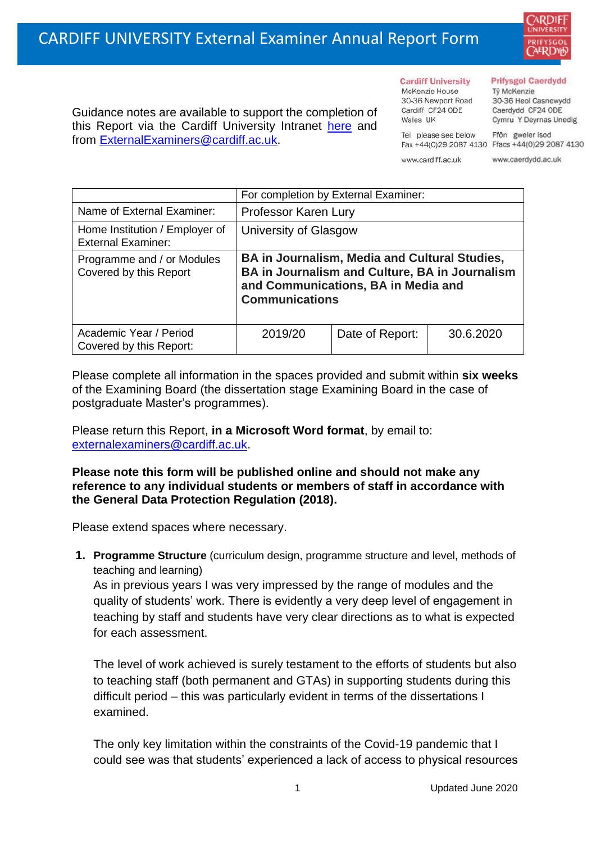

Guidance notes are available to support the completion of this Report via the Cardiff University Intranet [here](https://intranet.cardiff.ac.uk/staff/teaching-and-supporting-students/exams-and-assessment/exam-boards-and-external-examiners/for-current-external-examiners/external-examiners-reports) and from [ExternalExaminers@cardiff.ac.uk.](mailto:ExternalExaminers@cardiff.ac.uk)

**Cardiff University** McKenzie House 30-36 Newport Road Cardiff CF24 ODE

#### **Prifysgol Caerdydd**

Từ McKenzie 30-36 Heol Casnewydd Caerdydd CF24 ODE Cymru Y Deyrnas Unedig

Ffôn gweler isod Fax +44(0)29 2087 4130 Ffacs +44(0)29 2087 4130

www.cardiff.ac.uk

Tel please see below

Wales UK

www.caerdydd.ac.uk

|                                                             | For completion by External Examiner:                                                                                                                                   |                 |           |
|-------------------------------------------------------------|------------------------------------------------------------------------------------------------------------------------------------------------------------------------|-----------------|-----------|
| Name of External Examiner:                                  | Professor Karen Lury                                                                                                                                                   |                 |           |
| Home Institution / Employer of<br><b>External Examiner:</b> | University of Glasgow                                                                                                                                                  |                 |           |
| Programme and / or Modules<br>Covered by this Report        | <b>BA in Journalism, Media and Cultural Studies,</b><br>BA in Journalism and Culture, BA in Journalism<br>and Communications, BA in Media and<br><b>Communications</b> |                 |           |
| Academic Year / Period<br>Covered by this Report:           | 2019/20                                                                                                                                                                | Date of Report: | 30.6.2020 |

Please complete all information in the spaces provided and submit within **six weeks** of the Examining Board (the dissertation stage Examining Board in the case of postgraduate Master's programmes).

Please return this Report, **in a Microsoft Word format**, by email to: [externalexaminers@cardiff.ac.uk.](mailto:externalexaminers@cardiff.ac.uk)

**Please note this form will be published online and should not make any reference to any individual students or members of staff in accordance with the General Data Protection Regulation (2018).**

Please extend spaces where necessary.

**1. Programme Structure** (curriculum design, programme structure and level, methods of teaching and learning)

As in previous years I was very impressed by the range of modules and the quality of students' work. There is evidently a very deep level of engagement in teaching by staff and students have very clear directions as to what is expected for each assessment.

The level of work achieved is surely testament to the efforts of students but also to teaching staff (both permanent and GTAs) in supporting students during this difficult period – this was particularly evident in terms of the dissertations I examined.

The only key limitation within the constraints of the Covid-19 pandemic that I could see was that students' experienced a lack of access to physical resources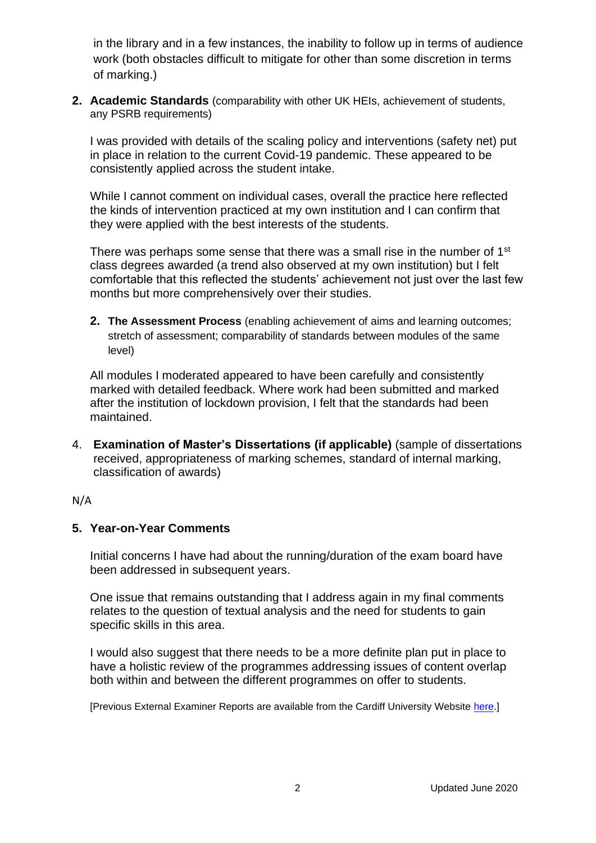in the library and in a few instances, the inability to follow up in terms of audience work (both obstacles difficult to mitigate for other than some discretion in terms of marking.)

**2. Academic Standards** (comparability with other UK HEIs, achievement of students, any PSRB requirements)

I was provided with details of the scaling policy and interventions (safety net) put in place in relation to the current Covid-19 pandemic. These appeared to be consistently applied across the student intake.

While I cannot comment on individual cases, overall the practice here reflected the kinds of intervention practiced at my own institution and I can confirm that they were applied with the best interests of the students.

There was perhaps some sense that there was a small rise in the number of 1<sup>st</sup> class degrees awarded (a trend also observed at my own institution) but I felt comfortable that this reflected the students' achievement not just over the last few months but more comprehensively over their studies.

**2. The Assessment Process** (enabling achievement of aims and learning outcomes; stretch of assessment; comparability of standards between modules of the same level)

All modules I moderated appeared to have been carefully and consistently marked with detailed feedback. Where work had been submitted and marked after the institution of lockdown provision, I felt that the standards had been maintained.

4. **Examination of Master's Dissertations (if applicable)** (sample of dissertations received, appropriateness of marking schemes, standard of internal marking, classification of awards)

### N/A

# **5. Year-on-Year Comments**

Initial concerns I have had about the running/duration of the exam board have been addressed in subsequent years.

One issue that remains outstanding that I address again in my final comments relates to the question of textual analysis and the need for students to gain specific skills in this area.

I would also suggest that there needs to be a more definite plan put in place to have a holistic review of the programmes addressing issues of content overlap both within and between the different programmes on offer to students.

[Previous External Examiner Reports are available from the Cardiff University Website [here.](https://www.cardiff.ac.uk/public-information/quality-and-standards/external-examiner-reports)]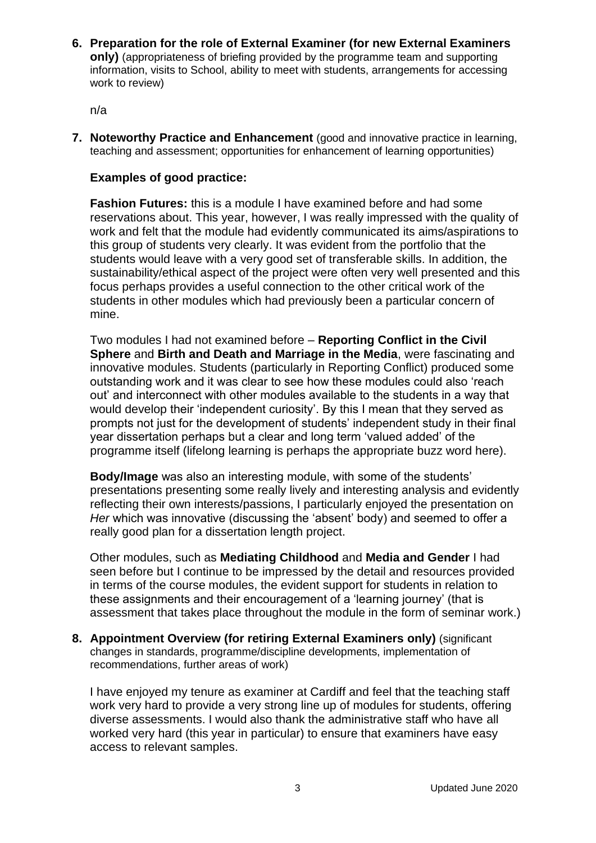**6. Preparation for the role of External Examiner (for new External Examiners only)** (appropriateness of briefing provided by the programme team and supporting information, visits to School, ability to meet with students, arrangements for accessing work to review)

n/a

**7. Noteworthy Practice and Enhancement** (good and innovative practice in learning, teaching and assessment; opportunities for enhancement of learning opportunities)

## **Examples of good practice:**

**Fashion Futures:** this is a module I have examined before and had some reservations about. This year, however, I was really impressed with the quality of work and felt that the module had evidently communicated its aims/aspirations to this group of students very clearly. It was evident from the portfolio that the students would leave with a very good set of transferable skills. In addition, the sustainability/ethical aspect of the project were often very well presented and this focus perhaps provides a useful connection to the other critical work of the students in other modules which had previously been a particular concern of mine.

Two modules I had not examined before – **Reporting Conflict in the Civil Sphere** and **Birth and Death and Marriage in the Media**, were fascinating and innovative modules. Students (particularly in Reporting Conflict) produced some outstanding work and it was clear to see how these modules could also 'reach out' and interconnect with other modules available to the students in a way that would develop their 'independent curiosity'. By this I mean that they served as prompts not just for the development of students' independent study in their final year dissertation perhaps but a clear and long term 'valued added' of the programme itself (lifelong learning is perhaps the appropriate buzz word here).

**Body/Image** was also an interesting module, with some of the students' presentations presenting some really lively and interesting analysis and evidently reflecting their own interests/passions, I particularly enjoyed the presentation on *Her* which was innovative (discussing the 'absent' body) and seemed to offer a really good plan for a dissertation length project.

Other modules, such as **Mediating Childhood** and **Media and Gender** I had seen before but I continue to be impressed by the detail and resources provided in terms of the course modules, the evident support for students in relation to these assignments and their encouragement of a 'learning journey' (that is assessment that takes place throughout the module in the form of seminar work.)

**8. Appointment Overview (for retiring External Examiners only)** (significant changes in standards, programme/discipline developments, implementation of recommendations, further areas of work)

I have enjoyed my tenure as examiner at Cardiff and feel that the teaching staff work very hard to provide a very strong line up of modules for students, offering diverse assessments. I would also thank the administrative staff who have all worked very hard (this year in particular) to ensure that examiners have easy access to relevant samples.